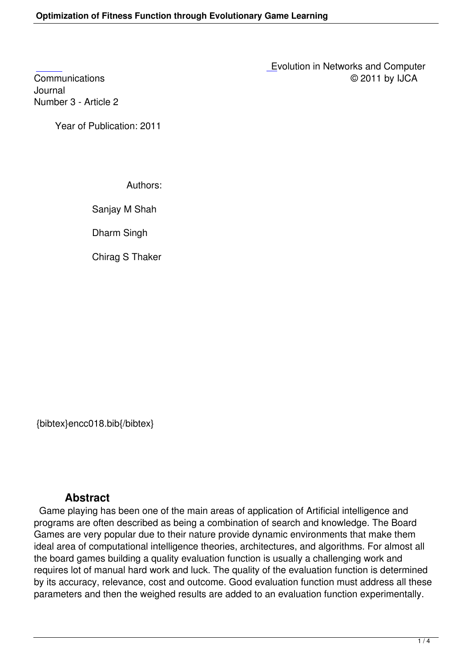Journal [Numbe](http://research.ijcaonline.org/encc/number3/encc018.pdf)r 3 - Article 2

Year of Publication: 2011

Authors:

Sanjay M Shah

Dharm Singh

Chirag S Thaker

{bibtex}encc018.bib{/bibtex}

## **Abstract**

 Game playing has been one of the main areas of application of Artificial intelligence and programs are often described as being a combination of search and knowledge. The Board Games are very popular due to their nature provide dynamic environments that make them ideal area of computational intelligence theories, architectures, and algorithms. For almost all the board games building a quality evaluation function is usually a challenging work and requires lot of manual hard work and luck. The quality of the evaluation function is determined by its accuracy, relevance, cost and outcome. Good evaluation function must address all these parameters and then the weighed results are added to an evaluation function experimentally.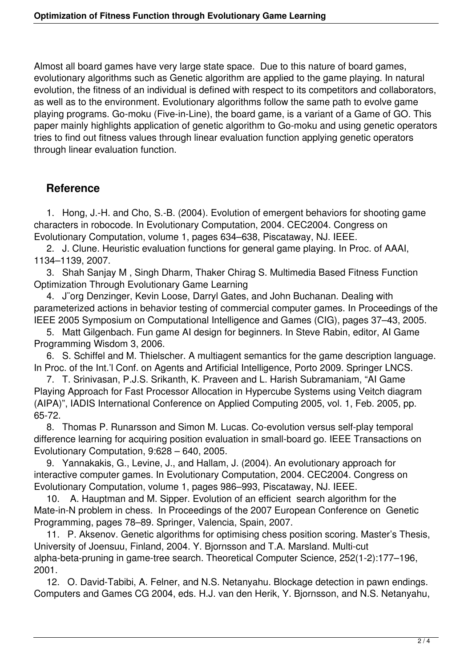Almost all board games have very large state space. Due to this nature of board games, evolutionary algorithms such as Genetic algorithm are applied to the game playing. In natural evolution, the fitness of an individual is defined with respect to its competitors and collaborators, as well as to the environment. Evolutionary algorithms follow the same path to evolve game playing programs. Go-moku (Five-in-Line), the board game, is a variant of a Game of GO. This paper mainly highlights application of genetic algorithm to Go-moku and using genetic operators tries to find out fitness values through linear evaluation function applying genetic operators through linear evaluation function.

## **Reference**

 1. Hong, J.-H. and Cho, S.-B. (2004). Evolution of emergent behaviors for shooting game characters in robocode. In Evolutionary Computation, 2004. CEC2004. Congress on Evolutionary Computation, volume 1, pages 634–638, Piscataway, NJ. IEEE.

 2. J. Clune. Heuristic evaluation functions for general game playing. In Proc. of AAAI, 1134–1139, 2007.

 3. Shah Sanjay M , Singh Dharm, Thaker Chirag S. Multimedia Based Fitness Function Optimization Through Evolutionary Game Learning

 4. J¨org Denzinger, Kevin Loose, Darryl Gates, and John Buchanan. Dealing with parameterized actions in behavior testing of commercial computer games. In Proceedings of the IEEE 2005 Symposium on Computational Intelligence and Games (CIG), pages 37–43, 2005.

 5. Matt Gilgenbach. Fun game AI design for beginners. In Steve Rabin, editor, AI Game Programming Wisdom 3, 2006.

 6. S. Schiffel and M. Thielscher. A multiagent semantics for the game description language. In Proc. of the Int.'I Conf. on Agents and Artificial Intelligence, Porto 2009. Springer LNCS.

 7. T. Srinivasan, P.J.S. Srikanth, K. Praveen and L. Harish Subramaniam, "AI Game Playing Approach for Fast Processor Allocation in Hypercube Systems using Veitch diagram (AIPA)", IADIS International Conference on Applied Computing 2005, vol. 1, Feb. 2005, pp. 65-72.

 8. Thomas P. Runarsson and Simon M. Lucas. Co-evolution versus self-play temporal difference learning for acquiring position evaluation in small-board go. IEEE Transactions on Evolutionary Computation, 9:628 – 640, 2005.

 9. Yannakakis, G., Levine, J., and Hallam, J. (2004). An evolutionary approach for interactive computer games. In Evolutionary Computation, 2004. CEC2004. Congress on Evolutionary Computation, volume 1, pages 986–993, Piscataway, NJ. IEEE.

 10. A. Hauptman and M. Sipper. Evolution of an efficient search algorithm for the Mate-in-N problem in chess. In Proceedings of the 2007 European Conference on Genetic Programming, pages 78–89. Springer, Valencia, Spain, 2007.

 11. P. Aksenov. Genetic algorithms for optimising chess position scoring. Master's Thesis, University of Joensuu, Finland, 2004. Y. Bjornsson and T.A. Marsland. Multi-cut alpha-beta-pruning in game-tree search. Theoretical Computer Science, 252(1-2):177–196, 2001.

 12. O. David-Tabibi, A. Felner, and N.S. Netanyahu. Blockage detection in pawn endings. Computers and Games CG 2004, eds. H.J. van den Herik, Y. Bjornsson, and N.S. Netanyahu,